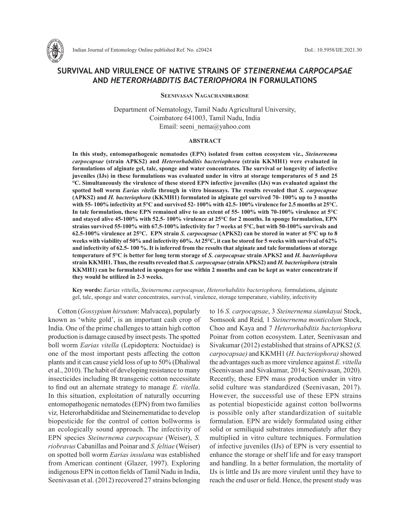

# **SURVIVAL AND VIRULENCE OF NATIVE STRAINS OF** *STEINERNEMA CARPOCAPSAE*  **AND** *HETERORHABDITIS BACTERIOPHORA* **IN FORMULATIONS**

**Seenivasan Nagachandrabose**

Department of Nematology, Tamil Nadu Agricultural University, Coimbatore 641003, Tamil Nadu, India Email: seeni\_nema@yahoo.com

#### **ABSTRACT**

**In this study, entomopathogenic nematodes (EPN) isolated from cotton ecosystem viz.,** *Steinernema carpocapsae* **(strain APKS2) and** *Heterorhabditis bacteriophora* **(strain KKMH1) were evaluated in formulations of alginate gel, talc, sponge and water concentrates. The survival or longevity of infective juveniles (IJs) in these formulations was evaluated under in vitro at storage temperatures of 5 and 25 °C. Simultaneously the virulence of these stored EPN infective juveniles (IJs) was evaluated against the spotted boll worm** *Earias vitella* **through in vitro bioassays. The results revealed that** *S. carpocapsae* **(APKS2) and** *H. bacteriophora* **(KKMH1) formulated in alginate gel survived 70- 100% up to 3 months with 55- 100% infectivity at 5°C and survived 52- 100% with 42.5- 100% virulence for 2.5 months at 25°C. In talc formulation, these EPN remained alive to an extent of 55- 100% with 70-100% virulence at 5°C and stayed alive 45-100% with 52.5- 100% virulence at 25°C for 2 months. In sponge formulation, EPN strains survived 55-100% with 67.5-100% infectivity for 7 weeks at 5°C, but with 50-100% survivals and 62.5-100% virulence at 25°C. EPN strain** *S. carpocapsae* **(APKS2) can be stored in water at 5°C up to 8 weeks with viability of 50% and infectivity 60%. At 25°C, it can be stored for 5 weeks with survival of 62% and infectivity of 62.5- 100 %. It is inferred from the results that alginate and talc formulations at storage temperature of 5°C is better for long term storage of** *S. carpocapsae* **strain APKS2 and** *H. bacteriophora* **strain KKMH1. Thus, the results revealed that** *S. carpocapsae* **(strain APKS2) and** *H. bacteriophora* **(strain KKMH1) can be formulated in sponges for use within 2 months and can be kept as water concentrate if they would be utilized in 2-3 weeks.**

**Key words:** *Earias vittella*, *Steinernema carpocapsae*, *Heterorhabditis bacteriophora,* formulations, alginate gel, talc, sponge and water concentrates, survival, virulence, storage temperature, viability, infectivity

Cotton (*Gossypium hirsutum*: Malvacea), popularly known as 'white gold', is an important cash crop of India. One of the prime challenges to attain high cotton production is damage caused by insect pests. The spotted boll worm *Earias vitella* (Lepidoptera: Noctuidae) is one of the most important pests affecting the cotton plants and it can cause yield loss of up to 50% (Dhaliwal et al., 2010). The habit of developing resistance to many insecticides including Bt transgenic cotton necessitate to find out an alternate strategy to manage *E. vitella*. In this situation, exploitation of naturally occurring entomopathogenic nematodes (EPN) from two families viz*,* Heterorhabditidae and Steinernematidae to develop biopesticide for the control of cotton bollworms is an ecologically sound approach. The infectivity of EPN species *Steinernema carpocapsae* (Weiser), *S. riobravus* Cabanillas and Poinar and *S. feltiae* (Weiser) on spotted boll worm *Earias insulana* was established from American continent (Glazer, 1997). Exploring indigenous EPN in cotton fields of Tamil Nadu in India, Seenivasan et al. (2012) recovered 27 strains belonging to 16 *S. carpocapsae*, 3 *Steinernema siamkayai* Stock, Somsook and Reid*,* 1 *Steinernema monticolum* Stock, Choo and Kaya and 7 *Heterorhabditis bacteriophora* Poinar from cotton ecosystem. Later, Seenivasan and Sivakumar (2012) established that strains of APKS2 (*S. carpocapsae)* and KKMH1 (*H. bacteriophora)* showed the advantages such as more virulence against *E. vittella* (Seenivasan and Sivakumar, 2014; Seenivasan, 2020). Recently, these EPN mass production under in vitro solid culture was standardized (Seenivasan, 2017). However, the successful use of these EPN strains as potential biopesticide against cotton bollworms is possible only after standardization of suitable formulation. EPN are widely formulated using either solid or semiliquid substrates immediately after they multiplied in vitro culture techniques. Formulation of infective juveniles (IJs) of EPN is very essential to enhance the storage or shelf life and for easy transport and handling. In a better formulation, the mortality of IJs is little and IJs are more virulent until they have to reach the end user or field. Hence, the present study was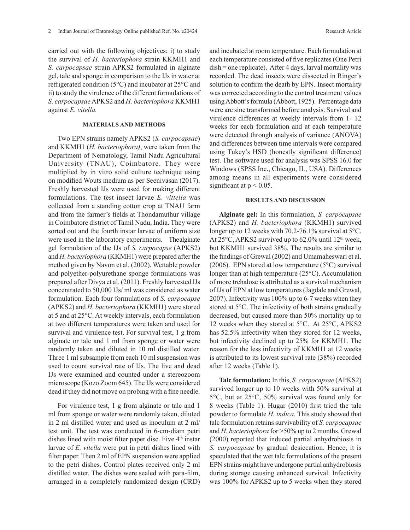carried out with the following objectives; i) to study the survival of *H. bacteriophora* strain KKMH1 and *S. carpocapsae* strain APKS2 formulated in alginate gel, talc and sponge in comparison to the IJs in water at refrigerated condition (5°C) and incubator at 25°C and ii) to study the virulence of the different formulations of *S. carpocapsae* APKS2 and *H. bacteriophora* KKMH1 against *E. vitella.*

# **MATERIALS AND METHODS**

Two EPN strains namely APKS2 (*S. carpocapsae*) and KKMH1 (*H. bacteriophora)*, were taken from the Department of Nematology, Tamil Nadu Agricultural University (TNAU), Coimbatore. They were multiplied by in vitro solid culture technique using on modified Wouts medium as per Seenivasan (2017). Freshly harvested IJs were used for making different formulations. The test insect larvae *E. vittella* was collected from a standing cotton crop at TNAU farm and from the farmer's fields at Thondamuthur village in Coimbatore district of Tamil Nadu, India. They were sorted out and the fourth instar larvae of uniform size were used in the laboratory experiments. The alginate gel formulation of the IJs of *S. carpocapse* (APKS2) and *H. bacteriophora* (KKMH1) were prepared after the method given by Navon et al. (2002). Wettable powder and polyether-polyurethane sponge formulations was prepared after Divya et al. (2011). Freshly harvested lJs concentrated to 50,000 IJs/ ml was considered as water formulation. Each four formulations of *S. carpocapse* (APKS2) and *H. bacteriophora* (KKMH1) were stored at 5 and at 25°C. At weekly intervals, each formulation at two different temperatures were taken and used for survival and virulence test. For survival test, 1 g from alginate or talc and 1 ml from sponge or water were randomly taken and diluted in 10 ml distilled water. Three 1 ml subsample from each 10 ml suspension was used to count survival rate of IJs. The live and dead IJs were examined and counted under a stereozoom microscope (Kozo Zoom 645). The IJs were considered dead if they did not move on probing with a fine needle.

For virulence test, 1 g from alginate or talc and 1 ml from sponge or water were randomly taken, diluted in 2 ml distilled water and used as inoculum at 2 ml/ test unit. The test was conducted in 6-cm-diam petri dishes lined with moist filter paper disc. Five 4<sup>th</sup> instar larvae of *E. vitella* were put in petri dishes lined with filter paper. Then 2 ml of EPN suspension were applied to the petri dishes. Control plates received only 2 ml distilled water. The dishes were sealed with para-film, arranged in a completely randomized design (CRD) and incubated at room temperature. Each formulation at each temperature consisted of five replicates (One Petri dish = one replicate). After 4 days, larval mortality was recorded. The dead insects were dissected in Ringer's solution to confirm the death by EPN. Insect mortality was corrected according to the control treatment values using Abbott's formula (Abbott, 1925). Percentage data were arc sine transformed before analysis. Survival and virulence differences at weekly intervals from 1- 12 weeks for each formulation and at each temperature were detected through analysis of variance (ANOVA) and differences between time intervals were compared using Tukey's HSD (honestly significant difference) test. The software used for analysis was SPSS 16.0 for Windows (SPSS Inc., Chicago, IL, USA). Differences among means in all experiments were considered significant at  $p < 0.05$ .

### **RESULTS AND DISCUSSION**

**Alginate gel:** In this formulation, *S. carpocapsae* (APKS2) and *H. bacteriophora* (KKMH1) survived longer up to 12 weeks with 70.2-76.1% survival at 5°C. At  $25^{\circ}$ C, APKS2 survived up to 62.0% until 12<sup>th</sup> week, but KKMH1 survived 38%. The results are similar to the findings of Grewal (2002) and Umamaheswari et al. (2006). EPN stored at low temperature ( $5^{\circ}$ C) survived longer than at high temperature (25°C). Accumulation of more trehalose is attributed as a survival mechanism of IJs of EPN at low temperatures (Jagdale and Grewal, 2007). Infectivity was 100% up to 6-7 weeks when they stored at 5°C. The infectivity of both strains gradually decreased, but caused more than 50% mortality up to 12 weeks when they stored at 5°C. At 25°C, APKS2 has 52.5% infectivity when they stored for 12 weeks, but infectivity declined up to 25% for KKMH1. The reason for the less infectivity of KKMH1 at 12 weeks is attributed to its lowest survival rate (38%) recorded after 12 weeks (Table 1).

**Talc formulation:** In this, *S. carpocapsae* (APKS2) survived longer up to 10 weeks with 50% survival at 5°C, but at 25°C, 50% survival was found only for 8 weeks (Table 1). Hugar (2010) first tried the talc powder to formulate *H. indica.* This study showed that talc formulation retains survivability of *S. carpocapsae* and *H. bacteriophora* for >50% up to 2 months. Grewal (2000) reported that induced partial anhydrobiosis in *S. carpocapsae* by gradual desiccation. Hence, it is speculated that the wet talc formulations of the present EPN strains might have undergone partial anhydrobiosis during storage causing enhanced survival. Infectivity was 100% for APKS2 up to 5 weeks when they stored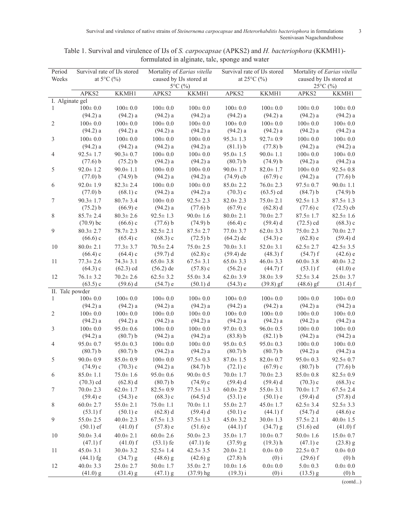Survival and virulence of native strains of *Steinernema carpocapsae* and *Heterorhabditis bacteriophora* in formulations 3 Seenivasan Nagachandrabose

| Period          | Survival rate of IJs stored |                            | Mortality of Earias vitella |                | Survival rate of IJs stored |                | Mortality of Earias vitella |                |
|-----------------|-----------------------------|----------------------------|-----------------------------|----------------|-----------------------------|----------------|-----------------------------|----------------|
| Weeks           | at $5^{\circ}$ C $(%)$      |                            | caused by IJs stored at     |                | at $25^{\circ}$ C $(%)$     |                | caused by IJs stored at     |                |
|                 |                             |                            | $5^{\circ}$ C $(%)$         |                |                             |                | 25°C (%)                    |                |
|                 | APKS2                       | KKMH1                      | APKS2                       | KKMH1          | APKS2                       | KKMH1          | APKS2                       | KKMH1          |
| I. Alginate gel |                             |                            |                             |                |                             |                |                             |                |
| $\mathbf{1}$    | $100 \pm 0.0$               | $100 \pm 0.0$              | $100 \pm 0.0$               | $100 \pm 0.0$  | $100 \pm 0.0$               | $100 \pm 0.0$  | $100 \pm 0.0$               | $100 \pm 0.0$  |
|                 | (94.2) a                    | (94.2) a                   | (94.2) a                    | (94.2) a       | (94.2) a                    | $(94.2)$ a     | (94.2) a                    | $(94.2)$ a     |
| 2               | $100\pm0.0$                 | $100 \pm 0.0$              | $100 \pm 0.0$               | $100 \pm 0.0$  | $100 \pm 0.0$               | $100 \pm 0.0$  | $100 \pm 0.0$               | $100 \pm 0.0$  |
|                 | (94.2) a                    | (94.2) a                   | (94.2) a                    | (94.2) a       | (94.2) a                    | (94.2) a       | (94.2) a                    | (94.2) a       |
| 3               | $100 \pm 0.0$               | $100 \pm 0.0$              | $100 \pm 0.0$               | $100 \pm 0.0$  | $95.3 \pm 1.3$              | $92.7 \pm 0.9$ | $100 \pm 0.0$               | $100 \pm 0.0$  |
|                 | (94.2) a                    | (94.2) a                   | (94.2) a                    | (94.2) a       | (81.1) b                    | (77.8) b       | (94.2) a                    | (94.2) a       |
| 4               | $92.5 \pm 1.7$              | $90.3 \pm 0.7$             | $100 \pm 0.0$               | $100 \pm 0.0$  | $95.0 \pm 1.5$              | $90.0 \pm 1.1$ | $100 \pm 0.0$               | $100 \pm 0.0$  |
|                 | (77.6) b                    | (75.2) b                   | (94.2) a                    | (94.2) a       | (80.7) b                    | (74.9) b       | (94.2) a                    | (94.2) a       |
| 5               | $92.0 \pm 1.2$              | $90.0 \pm 1.1$             | $100 \pm 0.0$               | $100 \pm 0.0$  | $90.0 \pm 1.7$              | $82.0 \pm 1.7$ | $100 \pm 0.0$               | $92.5 \pm 0.8$ |
|                 | (77.0) b                    | (74.9) b                   | (94.2) a                    | (94.2) a       | $(74.9)$ cb                 | $(67.9)$ c     | (94.2) a                    | (77.6) b       |
| 6               | $92.0 \pm 1.9$              | $82.3 \pm 2.4$             | $100 \pm 0.0$               | $100 \pm 0.0$  | $85.0 \pm 2.2$              | $76.0 \pm 2.3$ | $97.5 \pm 0.7$              | $90.0 \pm 1.1$ |
|                 | (77.0) b                    | $(68.1)$ c                 | (94.2) a                    | (94.2) a       | $(70.3)$ c                  | $(63.5)$ cd    | (84.7) b                    | (74.9) b       |
| 7               | $90.3 \pm 1.7$              | $80.7 \pm 3.4$             | $100 \pm 0.0$               | $92.5 \pm 2.3$ | $82.0 \pm 2.3$              | $75.0 \pm 2.1$ | $92.5 \pm 1.3$              | $87.5 \pm 1.3$ |
|                 | (75.2) b                    | (66.9) e                   | (94.2) a                    | (77.6) b       | $(67.9)$ c                  | $(62.8)$ d     | $(77.6)$ c                  | $(72.5)$ cb    |
| 8               | $85.7 \pm 2.4$              | $80.3 \pm 2.6$             | $92.5 \pm 1.3$              | $90.0 \pm 1.6$ | $80.0 \pm 2.1$              | $70.0 \pm 2.7$ | $87.5 \pm 1.7$              | $82.5 \pm 1.6$ |
|                 | $(70.9)$ bc                 | $(66.6)$ c                 | (77.6) b                    | (74.9) b       | $(66.4)$ c                  | $(59.4)$ d     | $(72.5)$ cd                 | $(68.3)$ c     |
| 9               | $80.3 \pm 2.7$              | $78.7 \pm 2.3$             | $82.5 \pm 2.1$              | $87.5 \pm 2.7$ | $77.0 \pm 3.7$              | $62.0 \pm 3.3$ | $75.0 \pm 2.3$              | $70.0 \pm 2.7$ |
|                 | $(66.6)$ c                  | $(65.4)$ c                 | $(68.3)$ c                  | (72.5) b       | $(64.2)$ dc                 | $(54.3)$ e     | $(62.8)$ e                  | (59.4) d       |
| 10              | $80.0 \pm 2.1$              | $77.3 \pm 3.7$             | $70.5 \pm 2.4$              | $75.0 \pm 2.5$ | $70.0 \pm 3.1$              | $52.0 \pm 3.1$ | $62.5 \pm 2.7$              | $42.5 \pm 3.5$ |
|                 | $(66.4)$ c                  | $(64.4)$ c                 | (59.7) d                    | $(62.8)$ c     | $(59.4)$ de                 | (48.3) f       | $(54.7)$ f                  | $(42.6)$ e     |
| 11              | $77.3 \pm 2.6$              | $74.3 \pm 3.1$             | $65.0 \pm 3.8$              | $67.5 \pm 3.1$ | $65.0 \pm 3.3$              | $46.0 \pm 3.3$ | $60.0 \pm 3.8$              | $40.0 \pm 3.2$ |
|                 | $(64.3)$ c                  | $(62.3)$ cd                | $(56.2)$ de                 | (57.8) c       | (56.2) e                    | $(44.7)$ f     | $(53.1)$ f                  | $(41.0)$ e     |
| 12              | $76.1 \pm 3.2$              | $70.2 \pm 2.6$             | $62.5 \pm 3.2$              | $55.0 \pm 3.4$ | $62.0 \pm 3.9$              | $38.0 \pm 3.9$ | $52.5 \pm 3.4$              | $25.0 \pm 3.7$ |
|                 |                             |                            |                             |                |                             |                |                             |                |
| II. Talc powder | $(63.5)$ c                  | $(59.6)$ d                 | (54.7) e                    | (50.1) d       | (54.3) e                    | $(39.8)$ gf    | $(48.6)$ gf                 | $(31.4)$ f     |
| 1               | $100 \pm 0.0$               | $100 \pm 0.0$              | $100\pm0.0$                 | $100 \pm 0.0$  | $100 \pm 0.0$               | $100 \pm 0.0$  | $100\pm0.0$                 | $100 \pm 0.0$  |
|                 | (94.2) a                    | (94.2) a                   | (94.2) a                    | (94.2) a       | (94.2) a                    | (94.2) a       | (94.2) a                    | $(94.2)$ a     |
| 2               | $100\pm0.0$                 | $100\pm0.0$                | $100 \pm 0.0$               | $100 \pm 0.0$  | $100 \pm 0.0$               | $100 \pm 0.0$  | $100 \pm 0.0$               | $100 \pm 0.0$  |
|                 | (94.2) a                    | (94.2) a                   | (94.2) a                    | (94.2) a       | (94.2) a                    | $(94.2)$ a     | (94.2) a                    | $(94.2)$ a     |
|                 | $100 \pm 0.0$               | $95.0 \pm 0.6$             | $100 \pm 0.0$               | $100 \pm 0.0$  | $97.0 \pm 0.3$              | $96.0 \pm 0.5$ | $100 \pm 0.0$               | $100 \pm 0.0$  |
| 3               |                             |                            |                             | (94.2) a       | (83.8) b                    |                |                             | $(94.2)$ a     |
|                 | (94.2) a                    | (80.7) b<br>$95.0 \pm 0.3$ | (94.2) a                    |                |                             | (82.1) b       | (94.2) a                    |                |
| 4               | $95.0 \pm 0.7$              |                            | $100 \pm 0.0$               | $100 \pm 0.0$  | $95.0 \pm 0.5$              | $95.0 \pm 0.3$ | $100 \pm 0.0$               | $100 \pm 0.0$  |
|                 | (80.7) b                    | (80.7) b                   | (94.2) a                    | (94.2) a       | (80.7) b                    | (80.7) b       | (94.2) a                    | (94.2) a       |
| 5               | $90.0 \pm 0.9$              | $85.0 \pm 0.9$             | $100 \pm 0.0$               | $97.5 \pm 0.3$ | $87.0 \pm 1.5$              | $82.0 \pm 0.7$ | $95.0 \pm 0.3$              | $92.5 \pm 0.7$ |
|                 | $(74.9)$ c                  | $(70.3)$ c                 | $(94.2)$ a                  | (84.7) b       | $(72.1)$ c                  | $(67.9)$ c     | (80.7) b                    | (77.6) b       |
| 6               | $85.0 \pm 1.1$              | $75.0 \pm 1.6$             | $95.0 \pm 0.6$              | $90.0 \pm 0.5$ | $70.0 \pm 1.7$              | $70.0 \pm 2.3$ | $85.0 \pm 0.8$              | $82.5 \pm 0.9$ |
|                 | $(70.3)$ cd                 | $(62.8)$ d                 | (80.7) b                    | $(74.9)$ c     | (59.4) d                    | $(59.4)$ d     | $(70.3)$ c                  | $(68.3)$ c     |
| 7               | $70.0 \pm 2.3$              | $62.0 \pm 1.7$             | $82.5 \pm 0.9$              | $77.5 \pm 1.3$ | $60.0 \pm 2.9$              | $55.0 \pm 3.1$ | $70.0 \pm 1.7$              | $67.5 \pm 2.4$ |
|                 | (59.4) e                    | $(54.3)$ e                 | $(68.3)$ c                  | $(64.5)$ d     | (53.1) e                    | $(50.1)$ e     | (59.4) d                    | $(57.8)$ d     |
| 8               | $60.0 \pm 2.7$              | $55.0 \pm 2.1$             | $75.0 \pm 1.1$              | $70.0 \pm 1.1$ | $55.0 \pm 2.7$              | $45.0 \pm 1.7$ | $62.5 \pm 3.4$              | $52.5 \pm 3.3$ |
|                 | $(53.1)$ f                  | $(50.1)$ e                 | $(62.8)$ d                  | (59.4) d       | (50.1) e                    | $(44.1)$ f     | (54.7) d                    | $(48.6)$ e     |
| 9               | $55.0 \pm 2.5$              | $40.0 \pm 2.3$             | $67.5 \pm 1.3$              | $57.5 \pm 1.3$ | $45.0 \pm 3.2$              | $30.0 \pm 1.3$ | $57.5 \pm 2.1$              | $40.0 \pm 1.5$ |
|                 | $(50.1)$ ef                 | $(41.0)$ f                 | $(57.8)$ e                  | $(51.6)$ e     | $(44.1)$ f                  | $(34.7)$ g     | $(51.6)$ ed                 | $(41.0)$ f     |
| 10              | $50.0 \pm 3.4$              | $40.0 \pm 2.1$             | $60.0 \pm 2.6$              | $50.0 \pm 2.3$ | $35.0 \pm 1.7$              | $10.0 \pm 0.7$ | $50.0 \pm 1.6$              | $15.0 \pm 0.7$ |
|                 | $(47.1)$ f                  | $(41.0)$ f                 | $(53.1)$ fe                 | $(47.1)$ fe    | $(37.9)$ g                  | $(19.3)$ h     | $(47.1)$ e                  | $(23.8)$ g     |
| 11              | $45.0 \pm 3.1$              | $30.0 \pm 3.2$             | $52.5 \pm 1.4$              | $42.5 \pm 3.5$ | $20.0 \pm 2.1$              | $0.0 \pm 0.0$  | $22.5 \pm 0.7$              | $0.0 + 0.0$    |
|                 | $(44.1)$ fg                 | $(34.7)$ g                 | $(48.6)$ g                  | $(42.6)$ g     | $(27.8)$ h                  | $(0)$ i        | $(29.6)$ f                  | $(0)$ h        |
| 12              | $40.0 \pm 3.3$              | $25.0 \pm 2.7$             | $50.0 \pm 1.7$              | $35.0 \pm 2.7$ | $10.0 \pm 1.6$              | $0.0 + 0.0$    | $5.0 \pm 0.3$               | $0.0 + 0.0$    |
|                 | $(41.0)$ g                  | $(31.4)$ g                 | $(47.1)$ g                  | $(37.9)$ hg    | $(19.3)$ i                  | $(0)$ i        | $(13.5)$ g                  | $(0)$ h        |

Table 1. Survival and virulence of IJs of *S. carpocapsae* (APKS2) and *H. bacteriophora* (KKMH1) formulated in alginate, talc, sponge and water

(contd...)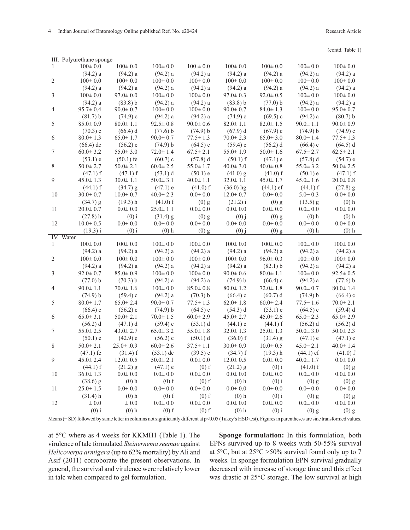| III. Polyurethane sponge |                |                 |                |                |                |                |                |                |  |
|--------------------------|----------------|-----------------|----------------|----------------|----------------|----------------|----------------|----------------|--|
| 1                        | $100 \pm 0.0$  | $100 \pm 0.0$   | $100 \pm 0.0$  | $100 \pm 0.0$  | $100 \pm 0.0$  | $100 \pm 0.0$  | $100 \pm 0.0$  | $100 \pm 0.0$  |  |
|                          | (94.2) a       | (94.2) a        | (94.2) a       | (94.2) a       | (94.2) a       | (94.2) a       | (94.2) a       | (94.2) a       |  |
| 2                        | $100 \pm 0.0$  | $100 \pm 0.0$   | $100 \pm 0.0$  | $100 \pm 0.0$  | $100\pm0.0$    | $100 \pm 0.0$  | $100 \pm 0.0$  | $100 \pm 0.0$  |  |
|                          | (94.2) a       | (94.2) a        | (94.2) a       | (94.2) a       | (94.2) a       | (94.2) a       | (94.2) a       | (94.2) a       |  |
| 3                        | $100\pm0.0$    | $97.0 \pm 0.0$  | $100 \pm 0.0$  | $100 \pm 0.0$  | $97.0 \pm 0.3$ | $92.0 \pm 0.5$ | $100 \pm 0.0$  | $100 \pm 0.0$  |  |
|                          | (94.2) a       | (83.8) b        | (94.2) a       | (94.2) a       | (83.8) b       | (77.0) b       | (94.2) a       | (94.2) a       |  |
| 4                        | $95.7 \pm 0.4$ | $90.0 \pm 0.7$  | $100 \pm 0.0$  | $100 \pm 0.0$  | $90.0 \pm 0.7$ | $84.0 \pm 1.3$ | $100 \pm 0.0$  | $95.0 \pm 0.7$ |  |
|                          | (81.7) b       | $(74.9)$ c      | (94.2) a       | (94.2) a       | $(74.9)$ c     | $(69.5)$ c     | (94.2) a       | (80.7) b       |  |
| 5                        | $85.0 \pm 0.9$ | $80.0 \pm 1.1$  | $92.5 \pm 0.8$ | $90.0 \pm 0.6$ | $82.0 \pm 1.1$ | $82.0 \pm 1.5$ | $90.0 \pm 1.1$ | $90.0 \pm 0.9$ |  |
|                          | (70.3) c       | (66.4) d        | (77.6) b       | (74.9) b       | (67.9) d       | $(67.9)$ c     | (74.9) b       | $(74.9)$ c     |  |
| 6                        | $80.0 \pm 1.3$ | $65.0 \pm 1.7$  | $90.0 \pm 0.7$ | $77.5 \pm 1.3$ | $70.0 \pm 2.3$ | $65.0 \pm 3.0$ | $80.0 \pm 1.4$ | $77.5 \pm 1.3$ |  |
|                          | $(66.4)$ dc    | (56.2) e        | (74.9) b       | $(64.5)$ c     | (59.4) e       | $(56.2)$ d     | $(66.4)$ c     | $(64.5)$ d     |  |
| 7                        | $60.0 \pm 3.2$ | $55.0 \pm 3.0$  | $72.0 \pm 1.4$ | $67.5 \pm 2.1$ | $55.0 \pm 1.9$ | $50.0 \pm 1.6$ | $67.5 \pm 2.7$ | $62.5 \pm 2.1$ |  |
|                          | (53.1) e       | $(50.1)$ fe     | $(60.7)$ c     | (57.8) d       | $(50.1)$ f     | (47.1) e       | (57.8) d       | (54.7) e       |  |
| 8                        | $50.0 \pm 2.7$ | $50.0 \pm 2.1$  | $60.0 \pm 2.5$ | $55.0 \pm 1.7$ | $40.0 \pm 3.0$ | $40.0 \pm 0.8$ | $55.0 \pm 3.2$ | $50.0 \pm 2.5$ |  |
|                          | $(47.1)$ f     | $(47.1)$ f      | (53.1) d       | $(50.1)$ e     | $(41.0)$ g     | $(41.0)$ f     | $(50.1)$ e     | $(47.1)$ f     |  |
| 9                        | $45.0 \pm 1.3$ | $30.0 \pm 1.1$  | $50.0 \pm 3.1$ | $40.0 \pm 1.1$ | $32.0 \pm 1.1$ | $45.0 \pm 1.7$ | $45.0 \pm 1.6$ | $20.0 \pm 0.8$ |  |
|                          | $(44.1)$ f     | $(34.7)$ g      | $(47.1)$ e     | $(41.0)$ f     | $(36.0)$ hg    | $(44.1)$ ef    | $(44.1)$ f     | $(27.8)$ g     |  |
| 10                       | $30.0 \pm 0.7$ | $10.0 + 0.7$    | $40.0 \pm 2.3$ | $0.0\pm0.0$    | $12.0 \pm 0.7$ | $0.0\pm0.0$    | $5.0 \pm 0.3$  | $0.0\pm0.0$    |  |
|                          | $(34.7)$ g     | $(19.3)$ h      | $(41.0)$ f     | $(0)$ g        | $(21.2)$ i     | $(0)$ g        | $(13.5)$ g     | $(0)$ h        |  |
| 11                       | $20.0 + 0.7$   | $0.0 + 0.0$     | $25.0 \pm 1.1$ | $0.0\pm0.0$    | $0.0 \pm 0.0$  | $0.0\pm0.0$    | $0.0 + 0.0$    | $0.0\pm0.0$    |  |
|                          | $(27.8)$ h     | $(0)$ i         | $(31.4)$ g     | $(0)$ g        | $(0)$ j        | $(0)$ g        | $(0)$ h        | $(0)$ h        |  |
| 12                       | $10.0 \pm 0.5$ | $0.0 + 0.0$     | $0.0 \pm 0.0$  | $0.0\pm0.0$    | $0.0 + 0.0$    | $0.0\pm0.0$    | $0.0 + 0.0$    | $0.0 + 0.0$    |  |
|                          | $(19.3)$ i     | $(0)$ i         | $(0)$ h        | $(0)$ g        | $(0)$ j        | $(0)$ g        | $(0)$ h        | $(0)$ h        |  |
|                          | IV. Water      |                 |                |                |                |                |                |                |  |
| 1                        | $100 \pm 0.0$  | $100 \pm 0.0$   | $100 \pm 0.0$  | $100 \pm 0.0$  | $100 \pm 0.0$  | $100 \pm 0.0$  | $100 \pm 0.0$  | $100 \pm 0.0$  |  |
|                          | (94.2) a       | (94.2) a        | (94.2) a       | (94.2) a       | (94.2) a       | (94.2) a       | (94.2) a       | (94.2) a       |  |
| 2                        | $100 \pm 0.0$  | $100 \pm 0.0$   | $100 \pm 0.0$  | $100 \pm 0.0$  | $100 \pm 0.0$  | $96.0 \pm 0.3$ | $100 \pm 0.0$  | $100\pm0.0$    |  |
|                          | (94.2) a       | (94.2) a        | (94.2) a       | (94.2) a       | (94.2) a       | (82.1) b       | (94.2) a       | (94.2) a       |  |
| 3                        | $92.0 \pm 0.7$ | $85.0 \pm 0.9$  | $100 \pm 0.0$  | $100 \pm 0.0$  | $90.0 \pm 0.6$ | $80.0 \pm 1.1$ | $100 \pm 0.0$  | $92.5 \pm 0.5$ |  |
|                          | (77.0) b       | (70.3) b        | (94.2) a       | (94.2) a       | (74.9) b       | $(66.4)$ c     | $(94.2)$ a     | (77.6) b       |  |
| $\overline{4}$           | $90.0 \pm 1.1$ | $70.0 \pm 1.6$  | $100 \pm 0.0$  | $85.0 \pm 0.8$ | $80.0 \pm 1.2$ | $72.0 \pm 1.8$ | $90.0 \pm 0.7$ | $80.0 \pm 1.4$ |  |
|                          | (74.9) b       | (59.4) c        | (94.2) a       | (70.3) b       | $(66.4)$ c     | (60.7) d       | (74.9) b       | $(66.4)$ c     |  |
| 5                        | $80.0 \pm 1.7$ | $65.0 \pm 2.4$  | $90.0 \pm 0.7$ | $77.5 \pm 1.3$ | $62.0 \pm 1.8$ | $60.0 \pm 2.4$ | $77.5 \pm 1.6$ | $70.0 \pm 2.1$ |  |
|                          | (66.4) c       | $(56.2)$ c      | (74.9) b       | $(64.5)$ c     | $(54.3)$ d     | (53.1) e       | $(64.5)$ c     | (59.4) d       |  |
| 6                        | $65.0 \pm 3.1$ | $50.0 \pm 2.1$  | $70.0 \pm 1.5$ | $60.0 \pm 2.9$ | $45.0 \pm 2.7$ | $45.0 \pm 2.6$ | $65.0 \pm 2.3$ | $65.0 \pm 2.9$ |  |
|                          | $(56.2)$ d     | $(47.1)$ d      | $(59.4)$ c     | (53.1) d       | $(44.1)$ e     | $(44.1)$ f     | $(56.2)$ d     | $(56.2)$ d     |  |
| 7                        | $55.0 \pm 2.5$ | $43.0 \pm 2.7$  | $65.0 \pm 3.2$ | $55.0 \pm 1.8$ | $32.0 \pm 1.3$ | $25.0 \pm 1.3$ | $50.0 \pm 3.0$ | $50.0 \pm 2.3$ |  |
|                          | (50.1) e       | $(42.9)$ e      | $(56.2)$ c     | $(50.1)$ d     | $(36.0)$ f     | $(31.4)$ g     | $(47.1)$ e     | (47.1) e       |  |
| 8                        | $50.0 \pm 2.1$ | $25.0 \pm .0.9$ | $60.0 \pm 2.6$ | $37.5 \pm 1.1$ | $30.0 \pm 0.9$ | $10.0 \pm 0.5$ | $45.0 \pm 2.1$ | $40.0 \pm 1.4$ |  |
|                          | $(47.1)$ fe    | $(31.4)$ f      | $(53.1)$ dc    | (39.5) e       | $(34.7)$ f     | $(19.3)$ h     | $(44.1)$ ef    | $(41.0)$ f     |  |
| 9                        | $45.0 \pm 2.4$ | $12.0 \pm 0.5$  | $50.0 \pm 2.1$ | $0.0 \pm 0.0$  | $12.0 \pm 0.5$ | $0.0\pm0.0$    | $40.0 \pm 1.7$ | $0.0 \pm 0.0$  |  |
|                          | (44.1) f       | $(21.2)$ g      | $(47.1)$ e     | $(0)$ f        | $(21.2)$ g     | $(0)$ i        | $(41.0)$ f     | $(0)$ g        |  |
| 10                       | $36.0 \pm 1.3$ | $0.0 \pm 0.0$   | $0.0 \pm 0.0$  | $0.0\pm0.0$    | $0.0 \pm 0.0$  | $0.0 \pm 0.0$  | $0.0 \pm 0.0$  | $0.0 \pm 0.0$  |  |
|                          | $(38.6)$ g     | $(0)$ h         | $(0)$ f        | $(0)$ f        | $(0)$ h        | $(0)$ i        | $(0)$ g        | $(0)$ g        |  |
| 11                       | $25.0 \pm 1.5$ | $0.0\pm0.0$     | $0.0 \pm 0.0$  | $0.0\pm0.0$    | $0.0 + 0.0$    | $0.0 \pm 0.0$  | $0.0 + 0.0$    | $0.0\pm0.0$    |  |
|                          | $(31.4)$ h     | $(0)$ h         | $(0)$ f        | $(0)$ f        | $(0)$ h        | $(0)$ i        | $(0)$ g        | $(0)$ g        |  |
| 12                       | $\pm\,0.0$     | $\pm$ 0.0       | $0.0\pm0.0$    | $0.0\pm0.0$    | $0.0\pm0.0$    | $0.0 + 0.0$    | $0.0\pm0.0$    | $0.0\pm0.0$    |  |
|                          | $(0)$ i        | $(0)$ h         | $(0)$ f        | $(0)$ f        | $(0)$ h        | $(0)$ i        | $(0)$ g        | $(0)$ g        |  |

Means ( $\pm$  SD) followed by same letter in columns not significantly different at p<0.05 (Tukey's HSD test). Figures in parentheses arc sine transformed values.

at 5°C where as 4 weeks for KKMH1 (Table 1). The virulence of talc formulated *Steinernema seemae* against *Helicoverpa armigera* (up to 62% mortality) by Ali and Asif (2011) corroborate the present observations. In general, the survival and virulence were relatively lower in talc when compared to gel formulation.

**Sponge formulation:** In this formulation, both EPNs survived up to 8 weeks with 50-55% survival at  $5^{\circ}$ C, but at  $25^{\circ}$ C  $>50\%$  survival found only up to 7 weeks. In sponge formulation EPN survival gradually decreased with increase of storage time and this effect was drastic at 25°C storage. The low survival at high